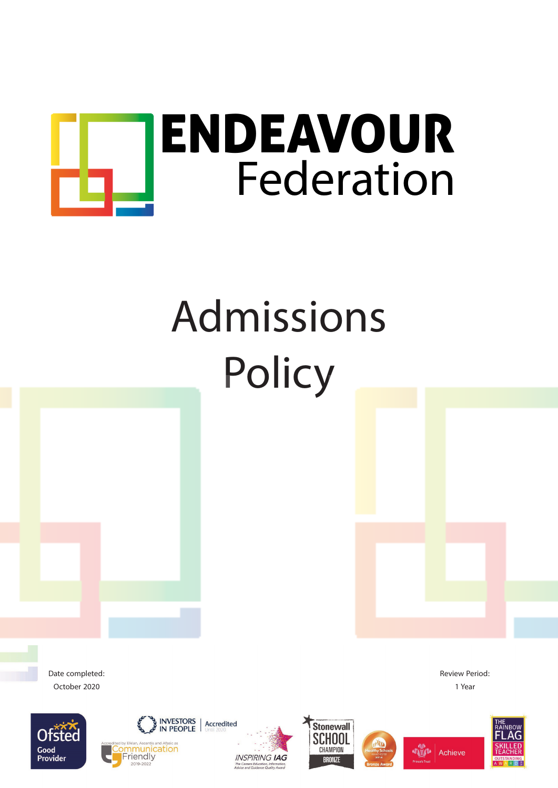

## Admissions Policy

Date completed: October 2020





**INSPIRING IAG** 







Review Period: 1 Year